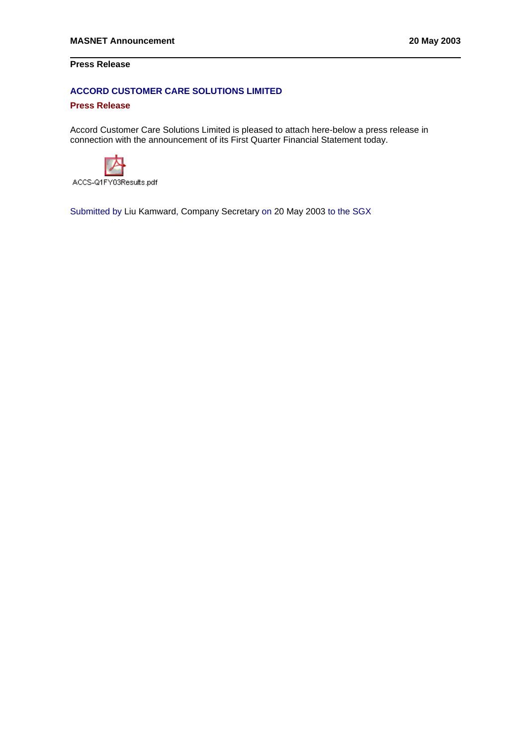## **Press Release**

## **ACCORD CUSTOMER CARE SOLUTIONS LIMITED**

### **Press Release**

Accord Customer Care Solutions Limited is pleased to attach here-below a press release in connection with the announcement of its First Quarter Financial Statement today.



ACCS-Q1FY03Results.pdf

Submitted by Liu Kamward, Company Secretary on 20 May 2003 to the SGX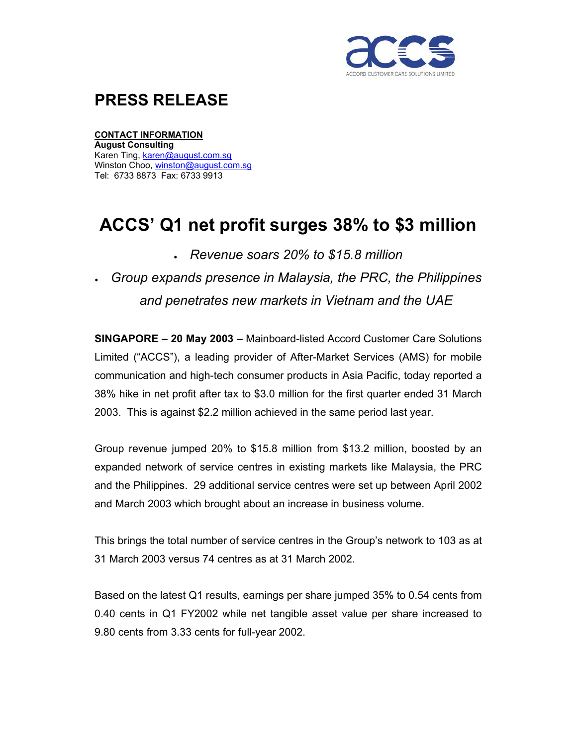

## **PRESS RELEASE**

### **CONTACT INFORMATION**

**August Consulting**  Karen Ting, karen@august.com.sg Winston Choo, winston@august.com.sg Tel: 6733 8873 Fax: 6733 9913

# **ACCS' Q1 net profit surges 38% to \$3 million**

- *Revenue soars 20% to \$15.8 million*
- *Group expands presence in Malaysia, the PRC, the Philippines and penetrates new markets in Vietnam and the UAE*

**SINGAPORE – 20 May 2003 –** Mainboard-listed Accord Customer Care Solutions Limited ("ACCS"), a leading provider of After-Market Services (AMS) for mobile communication and high-tech consumer products in Asia Pacific, today reported a 38% hike in net profit after tax to \$3.0 million for the first quarter ended 31 March 2003. This is against \$2.2 million achieved in the same period last year.

Group revenue jumped 20% to \$15.8 million from \$13.2 million, boosted by an expanded network of service centres in existing markets like Malaysia, the PRC and the Philippines. 29 additional service centres were set up between April 2002 and March 2003 which brought about an increase in business volume.

This brings the total number of service centres in the Group's network to 103 as at 31 March 2003 versus 74 centres as at 31 March 2002.

Based on the latest Q1 results, earnings per share jumped 35% to 0.54 cents from 0.40 cents in Q1 FY2002 while net tangible asset value per share increased to 9.80 cents from 3.33 cents for full-year 2002.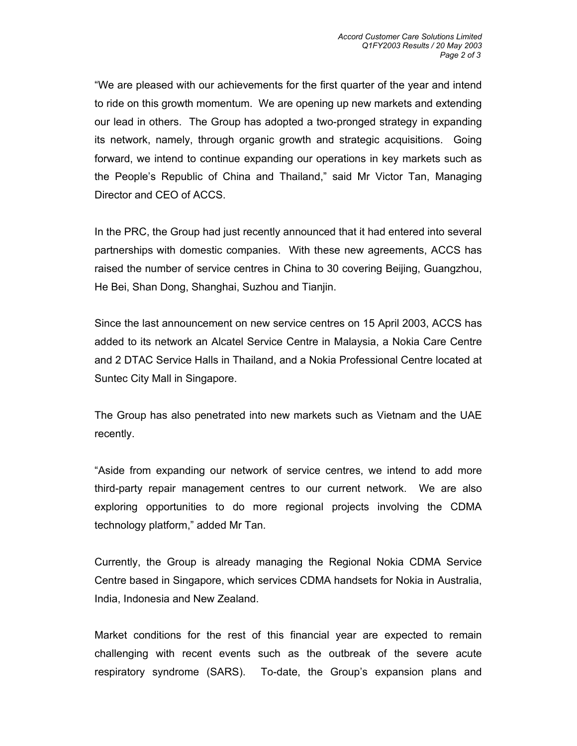"We are pleased with our achievements for the first quarter of the year and intend to ride on this growth momentum. We are opening up new markets and extending our lead in others. The Group has adopted a two-pronged strategy in expanding its network, namely, through organic growth and strategic acquisitions. Going forward, we intend to continue expanding our operations in key markets such as the People's Republic of China and Thailand," said Mr Victor Tan, Managing Director and CEO of ACCS.

In the PRC, the Group had just recently announced that it had entered into several partnerships with domestic companies. With these new agreements, ACCS has raised the number of service centres in China to 30 covering Beijing, Guangzhou, He Bei, Shan Dong, Shanghai, Suzhou and Tianjin.

Since the last announcement on new service centres on 15 April 2003, ACCS has added to its network an Alcatel Service Centre in Malaysia, a Nokia Care Centre and 2 DTAC Service Halls in Thailand, and a Nokia Professional Centre located at Suntec City Mall in Singapore.

The Group has also penetrated into new markets such as Vietnam and the UAE recently.

"Aside from expanding our network of service centres, we intend to add more third-party repair management centres to our current network. We are also exploring opportunities to do more regional projects involving the CDMA technology platform," added Mr Tan.

Currently, the Group is already managing the Regional Nokia CDMA Service Centre based in Singapore, which services CDMA handsets for Nokia in Australia, India, Indonesia and New Zealand.

Market conditions for the rest of this financial year are expected to remain challenging with recent events such as the outbreak of the severe acute respiratory syndrome (SARS). To-date, the Group's expansion plans and